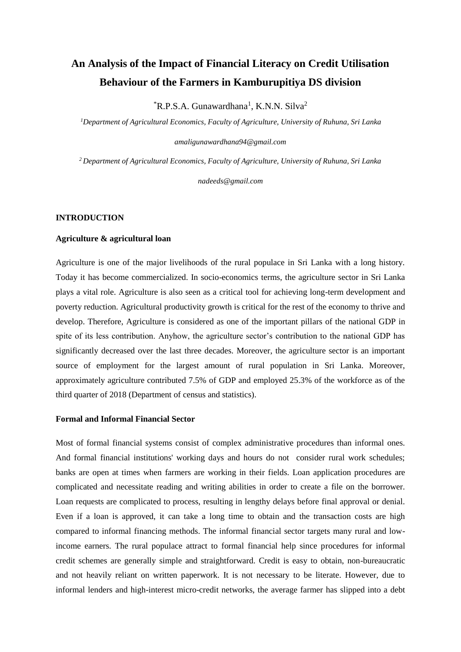# **An Analysis of the Impact of Financial Literacy on Credit Utilisation Behaviour of the Farmers in Kamburupitiya DS division**

 $R.P.S.A. Gunawardhana<sup>1</sup>, K.N.N. Silva<sup>2</sup>$ 

*<sup>1</sup>Department of Agricultural Economics, Faculty of Agriculture, University of Ruhuna, Sri Lanka* 

*amaligunawardhana94@gmail.com*

*<sup>2</sup>Department of Agricultural Economics, Faculty of Agriculture, University of Ruhuna, Sri Lanka* 

*nadeeds@gmail.com*

# **INTRODUCTION**

# **Agriculture & agricultural loan**

Agriculture is one of the major livelihoods of the rural populace in Sri Lanka with a long history. Today it has become commercialized. In socio-economics terms, the agriculture sector in Sri Lanka plays a vital role. Agriculture is also seen as a critical tool for achieving long-term development and poverty reduction. Agricultural productivity growth is critical for the rest of the economy to thrive and develop. Therefore, Agriculture is considered as one of the important pillars of the national GDP in spite of its less contribution. Anyhow, the agriculture sector's contribution to the national GDP has significantly decreased over the last three decades. Moreover, the agriculture sector is an important source of employment for the largest amount of rural population in Sri Lanka. Moreover, approximately agriculture contributed 7.5% of GDP and employed 25.3% of the workforce as of the third quarter of 2018 (Department of census and statistics).

# **Formal and Informal Financial Sector**

Most of formal financial systems consist of complex administrative procedures than informal ones. And formal financial institutions' working days and hours do not consider rural work schedules; banks are open at times when farmers are working in their fields. Loan application procedures are complicated and necessitate reading and writing abilities in order to create a file on the borrower. Loan requests are complicated to process, resulting in lengthy delays before final approval or denial. Even if a loan is approved, it can take a long time to obtain and the transaction costs are high compared to informal financing methods. The informal financial sector targets many rural and lowincome earners. The rural populace attract to formal financial help since procedures for informal credit schemes are generally simple and straightforward. Credit is easy to obtain, non-bureaucratic and not heavily reliant on written paperwork. It is not necessary to be literate. However, due to informal lenders and high-interest micro-credit networks, the average farmer has slipped into a debt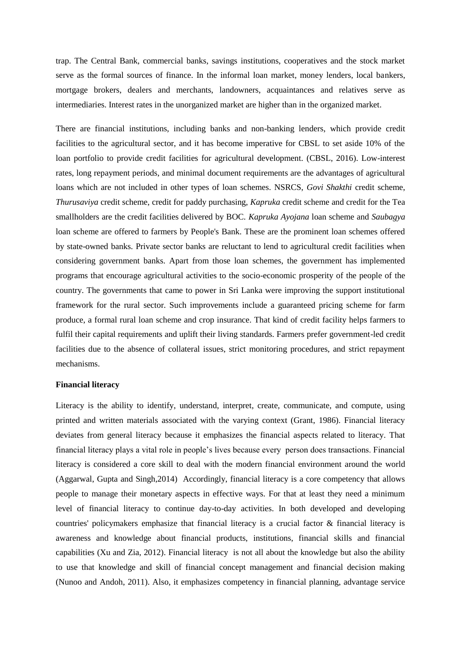trap. The Central Bank, commercial banks, savings institutions, cooperatives and the stock market serve as the formal sources of finance. In the informal loan market, money lenders, local bankers, mortgage brokers, dealers and merchants, landowners, acquaintances and relatives serve as intermediaries. Interest rates in the unorganized market are higher than in the organized market.

There are financial institutions, including banks and non-banking lenders, which provide credit facilities to the agricultural sector, and it has become imperative for CBSL to set aside 10% of the loan portfolio to provide credit facilities for agricultural development. (CBSL, 2016). Low-interest rates, long repayment periods, and minimal document requirements are the advantages of agricultural loans which are not included in other types of loan schemes. NSRCS, *Govi Shakthi* credit scheme, *Thurusaviya* credit scheme, credit for paddy purchasing, *Kapruka* credit scheme and credit for the Tea smallholders are the credit facilities delivered by BOC. *Kapruka Ayojana* loan scheme and *Saubagya*  loan scheme are offered to farmers by People's Bank. These are the prominent loan schemes offered by state-owned banks. Private sector banks are reluctant to lend to agricultural credit facilities when considering government banks. Apart from those loan schemes, the government has implemented programs that encourage agricultural activities to the socio-economic prosperity of the people of the country. The governments that came to power in Sri Lanka were improving the support institutional framework for the rural sector. Such improvements include a guaranteed pricing scheme for farm produce, a formal rural loan scheme and crop insurance. That kind of credit facility helps farmers to fulfil their capital requirements and uplift their living standards. Farmers prefer government-led credit facilities due to the absence of collateral issues, strict monitoring procedures, and strict repayment mechanisms.

# **Financial literacy**

Literacy is the ability to identify, understand, interpret, create, communicate, and compute, using printed and written materials associated with the varying context (Grant, 1986). Financial literacy deviates from general literacy because it emphasizes the financial aspects related to literacy. That financial literacy plays a vital role in people's lives because every person does transactions. Financial literacy is considered a core skill to deal with the modern financial environment around the world (Aggarwal, Gupta and Singh,2014) Accordingly, financial literacy is a core competency that allows people to manage their monetary aspects in effective ways. For that at least they need a minimum level of financial literacy to continue day-to-day activities. In both developed and developing countries' policymakers emphasize that financial literacy is a crucial factor & financial literacy is awareness and knowledge about financial products, institutions, financial skills and financial capabilities (Xu and Zia, 2012). Financial literacy is not all about the knowledge but also the ability to use that knowledge and skill of financial concept management and financial decision making (Nunoo and Andoh, 2011). Also, it emphasizes competency in financial planning, advantage service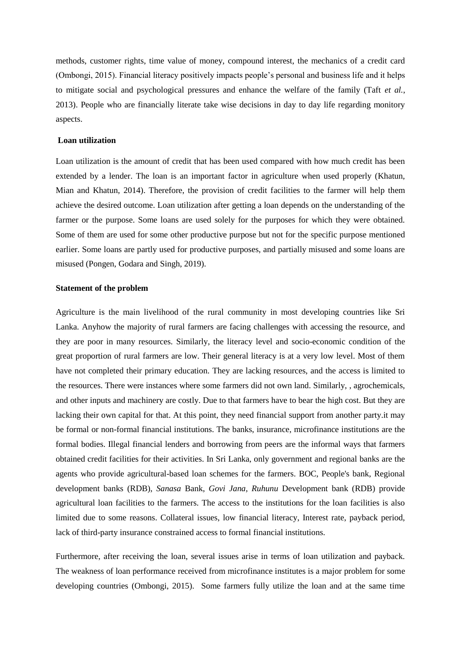methods, customer rights, time value of money, compound interest, the mechanics of a credit card (Ombongi, 2015). Financial literacy positively impacts people's personal and business life and it helps to mitigate social and psychological pressures and enhance the welfare of the family (Taft *et al.*, 2013). People who are financially literate take wise decisions in day to day life regarding monitory aspects.

# **Loan utilization**

Loan utilization is the amount of credit that has been used compared with how much credit has been extended by a lender. The loan is an important factor in agriculture when used properly (Khatun, Mian and Khatun, 2014). Therefore, the provision of credit facilities to the farmer will help them achieve the desired outcome. Loan utilization after getting a loan depends on the understanding of the farmer or the purpose. Some loans are used solely for the purposes for which they were obtained. Some of them are used for some other productive purpose but not for the specific purpose mentioned earlier. Some loans are partly used for productive purposes, and partially misused and some loans are misused (Pongen, Godara and Singh, 2019).

# **Statement of the problem**

Agriculture is the main livelihood of the rural community in most developing countries like Sri Lanka. Anyhow the majority of rural farmers are facing challenges with accessing the resource, and they are poor in many resources. Similarly, the literacy level and socio-economic condition of the great proportion of rural farmers are low. Their general literacy is at a very low level. Most of them have not completed their primary education. They are lacking resources, and the access is limited to the resources. There were instances where some farmers did not own land. Similarly, , agrochemicals, and other inputs and machinery are costly. Due to that farmers have to bear the high cost. But they are lacking their own capital for that. At this point, they need financial support from another party.it may be formal or non-formal financial institutions. The banks, insurance, microfinance institutions are the formal bodies. Illegal financial lenders and borrowing from peers are the informal ways that farmers obtained credit facilities for their activities. In Sri Lanka, only government and regional banks are the agents who provide agricultural-based loan schemes for the farmers. BOC, People's bank, Regional development banks (RDB), *Sanasa* Bank, *Govi Jana, Ruhunu* Development bank (RDB) provide agricultural loan facilities to the farmers. The access to the institutions for the loan facilities is also limited due to some reasons. Collateral issues, low financial literacy, Interest rate, payback period, lack of third-party insurance constrained access to formal financial institutions.

Furthermore, after receiving the loan, several issues arise in terms of loan utilization and payback. The weakness of loan performance received from microfinance institutes is a major problem for some developing countries (Ombongi, 2015). Some farmers fully utilize the loan and at the same time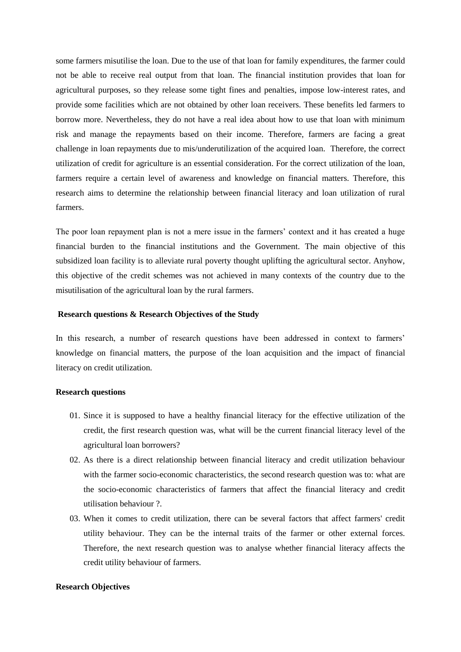some farmers misutilise the loan. Due to the use of that loan for family expenditures, the farmer could not be able to receive real output from that loan. The financial institution provides that loan for agricultural purposes, so they release some tight fines and penalties, impose low-interest rates, and provide some facilities which are not obtained by other loan receivers. These benefits led farmers to borrow more. Nevertheless, they do not have a real idea about how to use that loan with minimum risk and manage the repayments based on their income. Therefore, farmers are facing a great challenge in loan repayments due to mis/underutilization of the acquired loan. Therefore, the correct utilization of credit for agriculture is an essential consideration. For the correct utilization of the loan, farmers require a certain level of awareness and knowledge on financial matters. Therefore, this research aims to determine the relationship between financial literacy and loan utilization of rural farmers.

The poor loan repayment plan is not a mere issue in the farmers' context and it has created a huge financial burden to the financial institutions and the Government. The main objective of this subsidized loan facility is to alleviate rural poverty thought uplifting the agricultural sector. Anyhow, this objective of the credit schemes was not achieved in many contexts of the country due to the misutilisation of the agricultural loan by the rural farmers.

### **Research questions & Research Objectives of the Study**

In this research, a number of research questions have been addressed in context to farmers' knowledge on financial matters, the purpose of the loan acquisition and the impact of financial literacy on credit utilization.

### **Research questions**

- 01. Since it is supposed to have a healthy financial literacy for the effective utilization of the credit, the first research question was, what will be the current financial literacy level of the agricultural loan borrowers?
- 02. As there is a direct relationship between financial literacy and credit utilization behaviour with the farmer socio-economic characteristics, the second research question was to: what are the socio-economic characteristics of farmers that affect the financial literacy and credit utilisation behaviour ?.
- 03. When it comes to credit utilization, there can be several factors that affect farmers' credit utility behaviour. They can be the internal traits of the farmer or other external forces. Therefore, the next research question was to analyse whether financial literacy affects the credit utility behaviour of farmers.

### **Research Objectives**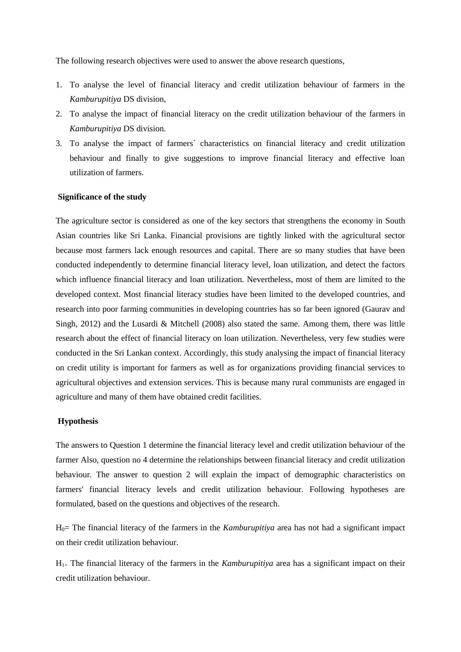The following research objectives were used to answer the above research questions,

- 1. To analyse the level of financial literacy and credit utilization behaviour of farmers in the *Kamburupitiya* DS division,
- 2. To analyse the impact of financial literacy on the credit utilization behaviour of the farmers in *Kamburupitiya* DS division.
- 3. To analyse the impact of farmers` characteristics on financial literacy and credit utilization behaviour and finally to give suggestions to improve financial literacy and effective loan utilization of farmers.

# **Significance of the study**

The agriculture sector is considered as one of the key sectors that strengthens the economy in South Asian countries like Sri Lanka. Financial provisions are tightly linked with the agricultural sector because most farmers lack enough resources and capital. There are so many studies that have been conducted independently to determine financial literacy level, loan utilization, and detect the factors which influence financial literacy and loan utilization. Nevertheless, most of them are limited to the developed context. Most financial literacy studies have been limited to the developed countries, and research into poor farming communities in developing countries has so far been ignored (Gaurav and Singh, 2012) and the Lusardi & Mitchell (2008) also stated the same. Among them, there was little research about the effect of financial literacy on loan utilization. Nevertheless, very few studies were conducted in the Sri Lankan context. Accordingly, this study analysing the impact of financial literacy on credit utility is important for farmers as well as for organizations providing financial services to agricultural objectives and extension services. This is because many rural communists are engaged in agriculture and many of them have obtained credit facilities.

### **Hypothesis**

The answers to Question 1 determine the financial literacy level and credit utilization behaviour of the farmer Also, question no 4 determine the relationships between financial literacy and credit utilization behaviour. The answer to question 2 will explain the impact of demographic characteristics on farmers' financial literacy levels and credit utilization behaviour. Following hypotheses are formulated, based on the questions and objectives of the research.

H0= The financial literacy of the farmers in the *Kamburupitiya* area has not had a significant impact on their credit utilization behaviour.

 $H_{1=}$  The financial literacy of the farmers in the *Kamburupitiva* area has a significant impact on their credit utilization behaviour.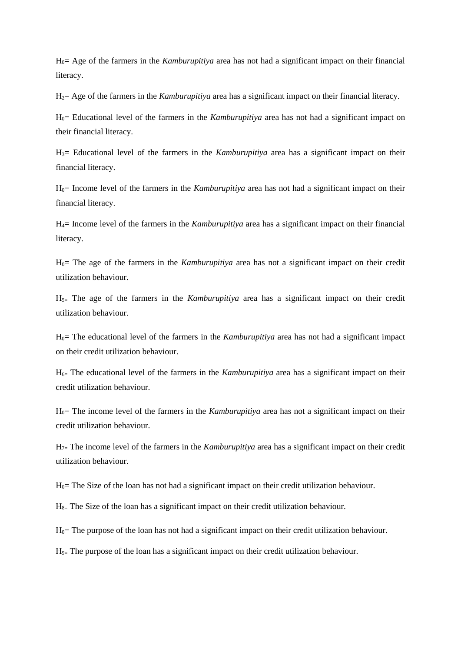H0= Age of the farmers in the *Kamburupitiya* area has not had a significant impact on their financial literacy.

H2= Age of the farmers in the *Kamburupitiya* area has a significant impact on their financial literacy.

H0= Educational level of the farmers in the *Kamburupitiya* area has not had a significant impact on their financial literacy.

H3= Educational level of the farmers in the *Kamburupitiya* area has a significant impact on their financial literacy.

H0= Income level of the farmers in the *Kamburupitiya* area has not had a significant impact on their financial literacy.

H4= Income level of the farmers in the *Kamburupitiya* area has a significant impact on their financial literacy.

H0= The age of the farmers in the *Kamburupitiya* area has not a significant impact on their credit utilization behaviour.

H5= The age of the farmers in the *Kamburupitiya* area has a significant impact on their credit utilization behaviour.

H0= The educational level of the farmers in the *Kamburupitiya* area has not had a significant impact on their credit utilization behaviour.

 $H_{6=}$  The educational level of the farmers in the *Kamburupitiva* area has a significant impact on their credit utilization behaviour.

H0= The income level of the farmers in the *Kamburupitiya* area has not a significant impact on their credit utilization behaviour.

H7= The income level of the farmers in the *Kamburupitiya* area has a significant impact on their credit utilization behaviour.

 $H<sub>0</sub>=$  The Size of the loan has not had a significant impact on their credit utilization behaviour.

 $H_{8=}$  The Size of the loan has a significant impact on their credit utilization behaviour.

 $H<sub>0</sub>=$  The purpose of the loan has not had a significant impact on their credit utilization behaviour.

 $H_{9=}$  The purpose of the loan has a significant impact on their credit utilization behaviour.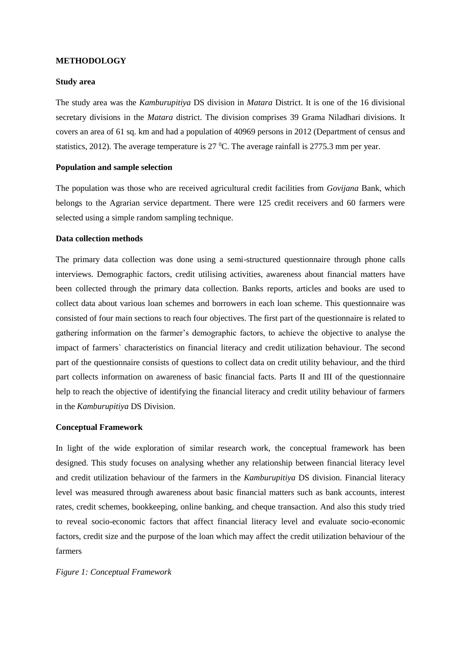### **METHODOLOGY**

# **Study area**

The study area was the *Kamburupitiya* DS division in *Matara* District. It is one of the 16 divisional secretary divisions in the *Matara* district. The division comprises 39 Grama Niladhari divisions. It covers an area of 61 sq. km and had a population of 40969 persons in 2012 (Department of census and statistics, 2012). The average temperature is  $27 \text{ °C}$ . The average rainfall is  $2775.3$  mm per year.

# **Population and sample selection**

The population was those who are received agricultural credit facilities from *Govijana* Bank, which belongs to the Agrarian service department. There were 125 credit receivers and 60 farmers were selected using a simple random sampling technique.

### **Data collection methods**

The primary data collection was done using a semi-structured questionnaire through phone calls interviews. Demographic factors, credit utilising activities, awareness about financial matters have been collected through the primary data collection. Banks reports, articles and books are used to collect data about various loan schemes and borrowers in each loan scheme. This questionnaire was consisted of four main sections to reach four objectives. The first part of the questionnaire is related to gathering information on the farmer's demographic factors, to achieve the objective to analyse the impact of farmers` characteristics on financial literacy and credit utilization behaviour. The second part of the questionnaire consists of questions to collect data on credit utility behaviour, and the third part collects information on awareness of basic financial facts. Parts II and III of the questionnaire help to reach the objective of identifying the financial literacy and credit utility behaviour of farmers in the *Kamburupitiya* DS Division.

### **Conceptual Framework**

In light of the wide exploration of similar research work, the conceptual framework has been designed. This study focuses on analysing whether any relationship between financial literacy level and credit utilization behaviour of the farmers in the *Kamburupitiya* DS division. Financial literacy level was measured through awareness about basic financial matters such as bank accounts, interest rates, credit schemes, bookkeeping, online banking, and cheque transaction. And also this study tried to reveal socio-economic factors that affect financial literacy level and evaluate socio-economic factors, credit size and the purpose of the loan which may affect the credit utilization behaviour of the farmers

# *Figure 1: Conceptual Framework*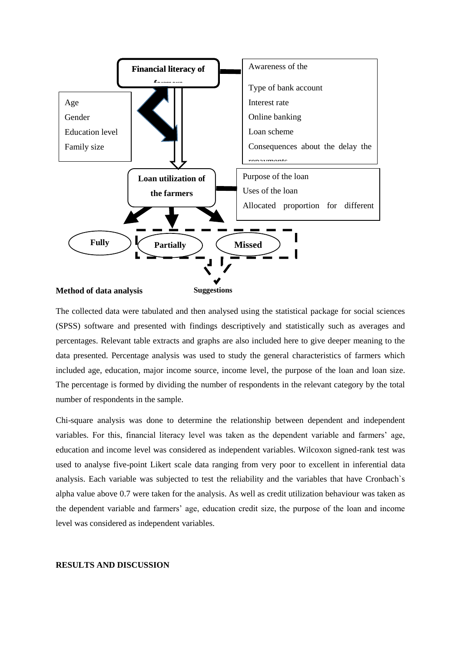

The collected data were tabulated and then analysed using the statistical package for social sciences (SPSS) software and presented with findings descriptively and statistically such as averages and percentages. Relevant table extracts and graphs are also included here to give deeper meaning to the data presented. Percentage analysis was used to study the general characteristics of farmers which included age, education, major income source, income level, the purpose of the loan and loan size. The percentage is formed by dividing the number of respondents in the relevant category by the total number of respondents in the sample.

Chi-square analysis was done to determine the relationship between dependent and independent variables. For this, financial literacy level was taken as the dependent variable and farmers' age, education and income level was considered as independent variables. Wilcoxon signed-rank test was used to analyse five-point Likert scale data ranging from very poor to excellent in inferential data analysis. Each variable was subjected to test the reliability and the variables that have Cronbach`s alpha value above 0.7 were taken for the analysis. As well as credit utilization behaviour was taken as the dependent variable and farmers' age, education credit size, the purpose of the loan and income level was considered as independent variables.

### **RESULTS AND DISCUSSION**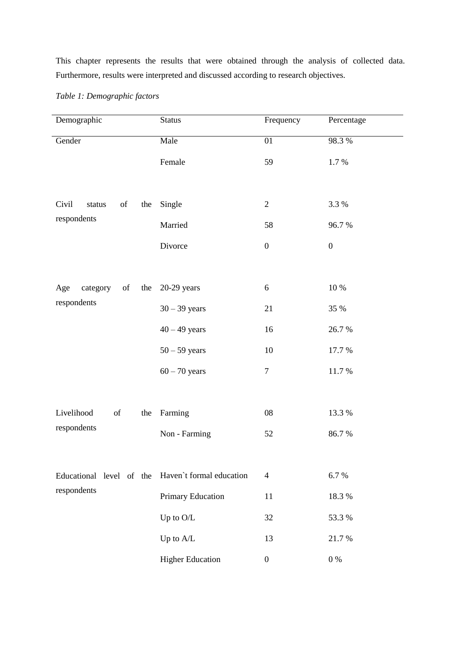This chapter represents the results that were obtained through the analysis of collected data. Furthermore, results were interpreted and discussed according to research objectives.

| Demographic                                       | <b>Status</b>           | Frequency        | Percentage       |  |
|---------------------------------------------------|-------------------------|------------------|------------------|--|
| Gender                                            | Male                    | 01               | 98.3%            |  |
|                                                   | Female                  | 59               | 1.7%             |  |
|                                                   |                         |                  |                  |  |
| Civil<br>of<br>the<br>status                      | Single                  | $\overline{2}$   | 3.3 %            |  |
| respondents                                       | Married                 | 58               | 96.7%            |  |
|                                                   | Divorce                 | $\boldsymbol{0}$ | $\boldsymbol{0}$ |  |
|                                                   |                         |                  |                  |  |
| Age<br>category<br>of<br>the                      | $20-29$ years           | 6                | 10 %             |  |
| respondents                                       | $30 - 39$ years         | 21               | 35 %             |  |
|                                                   | $40 - 49$ years         | 16               | 26.7%            |  |
|                                                   | $50 - 59$ years         | 10               | 17.7 %           |  |
|                                                   | $60 - 70$ years         | $\boldsymbol{7}$ | 11.7 %           |  |
|                                                   |                         |                  |                  |  |
| Livelihood<br>of<br>the                           | Farming                 | 08               | 13.3 %           |  |
| respondents                                       | Non - Farming           | 52               | 86.7%            |  |
|                                                   |                         |                  |                  |  |
| Educational level of the Haven't formal education |                         | $\overline{4}$   | 6.7%             |  |
| respondents                                       | Primary Education       | 11               | 18.3 %           |  |
|                                                   | Up to $\mathrm{O/L}$    | 32               | 53.3 %           |  |
|                                                   | Up to A/L               | 13               | 21.7%            |  |
|                                                   | <b>Higher Education</b> | $\boldsymbol{0}$ | $0\ \%$          |  |

# *Table 1: Demographic factors*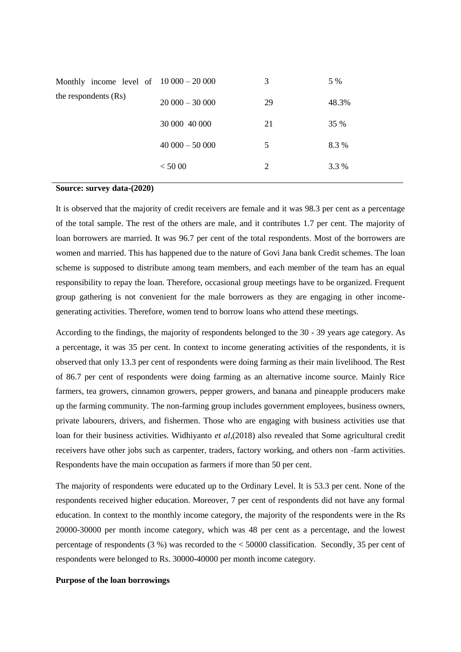| Monthly income level of $10000 - 20000$ |                 | 3  | 5 %         |
|-----------------------------------------|-----------------|----|-------------|
| the respondents (Rs)                    | $20000 - 30000$ | 29 | 48.3%       |
|                                         | 30 000 40 000   | 21 | <b>35 %</b> |
|                                         | $40000 - 50000$ | 5  | 8.3 %       |
|                                         | < 5000          | 2  | 3.3 %       |
|                                         |                 |    |             |

### **Source: survey data-(2020)**

It is observed that the majority of credit receivers are female and it was 98.3 per cent as a percentage of the total sample. The rest of the others are male, and it contributes 1.7 per cent. The majority of loan borrowers are married. It was 96.7 per cent of the total respondents. Most of the borrowers are women and married. This has happened due to the nature of Govi Jana bank Credit schemes. The loan scheme is supposed to distribute among team members, and each member of the team has an equal responsibility to repay the loan. Therefore, occasional group meetings have to be organized. Frequent group gathering is not convenient for the male borrowers as they are engaging in other incomegenerating activities. Therefore, women tend to borrow loans who attend these meetings.

According to the findings, the majority of respondents belonged to the 30 - 39 years age category. As a percentage, it was 35 per cent. In context to income generating activities of the respondents, it is observed that only 13.3 per cent of respondents were doing farming as their main livelihood. The Rest of 86.7 per cent of respondents were doing farming as an alternative income source. Mainly Rice farmers, tea growers, cinnamon growers, pepper growers, and banana and pineapple producers make up the farming community. The non-farming group includes government employees, business owners, private labourers, drivers, and fishermen. Those who are engaging with business activities use that loan for their business activities. Widhiyanto *et al,*(2018) also revealed that Some agricultural credit receivers have other jobs such as carpenter, traders, factory working, and others non -farm activities. Respondents have the main occupation as farmers if more than 50 per cent.

The majority of respondents were educated up to the Ordinary Level. It is 53.3 per cent. None of the respondents received higher education. Moreover, 7 per cent of respondents did not have any formal education. In context to the monthly income category, the majority of the respondents were in the Rs 20000-30000 per month income category, which was 48 per cent as a percentage, and the lowest percentage of respondents (3 %) was recorded to the < 50000 classification. Secondly, 35 per cent of respondents were belonged to Rs. 30000-40000 per month income category.

# **Purpose of the loan borrowings**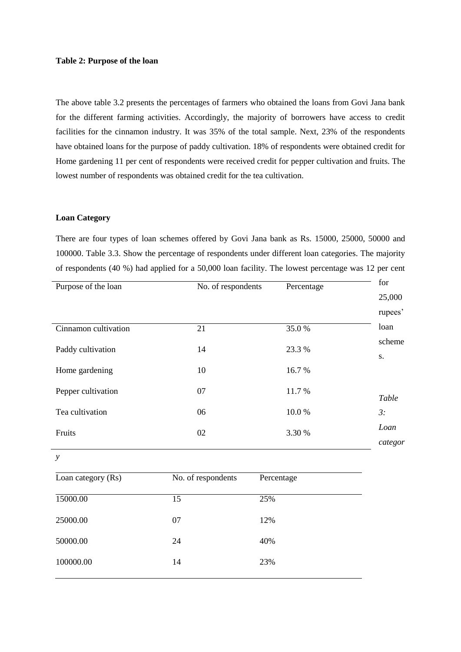### **Table 2: Purpose of the loan**

The above table 3.2 presents the percentages of farmers who obtained the loans from Govi Jana bank for the different farming activities. Accordingly, the majority of borrowers have access to credit facilities for the cinnamon industry. It was 35% of the total sample. Next, 23% of the respondents have obtained loans for the purpose of paddy cultivation. 18% of respondents were obtained credit for Home gardening 11 per cent of respondents were received credit for pepper cultivation and fruits. The lowest number of respondents was obtained credit for the tea cultivation.

# **Loan Category**

There are four types of loan schemes offered by Govi Jana bank as Rs. 15000, 25000, 50000 and 100000. Table 3.3. Show the percentage of respondents under different loan categories. The majority of respondents (40 %) had applied for a 50,000 loan facility. The lowest percentage was 12 per cent

| Purpose of the loan  | No. of respondents | Percentage | for<br>25,000   |
|----------------------|--------------------|------------|-----------------|
|                      |                    |            | rupees'         |
| Cinnamon cultivation | 21                 | 35.0%      | loan            |
| Paddy cultivation    | 14                 | 23.3 %     | scheme<br>S.    |
| Home gardening       | 10                 | 16.7%      |                 |
| Pepper cultivation   | 07                 | 11.7%      | Table           |
| Tea cultivation      | 06                 | 10.0%      | 3:              |
| Fruits               | 02                 | 3.30 %     | Loan<br>categor |
| $\mathcal{Y}$        |                    |            |                 |

| Loan category (Rs) | No. of respondents | Percentage |
|--------------------|--------------------|------------|
| 15000.00           | 15                 | 25%        |
| 25000.00           | 07                 | 12%        |
| 50000.00           | 24                 | 40%        |
| 100000.00          | 14                 | 23%        |
|                    |                    |            |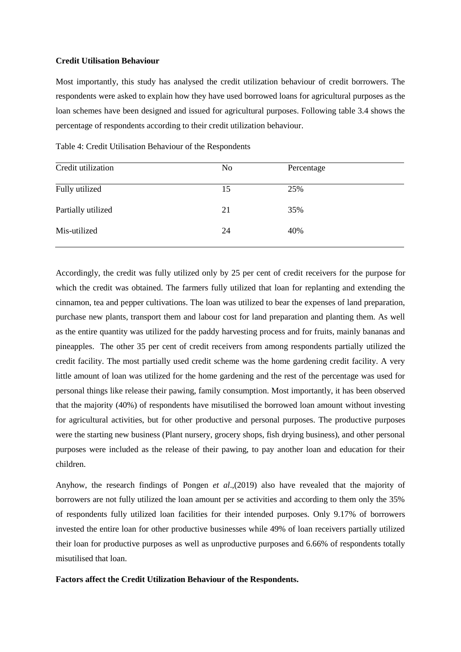### **Credit Utilisation Behaviour**

Most importantly, this study has analysed the credit utilization behaviour of credit borrowers. The respondents were asked to explain how they have used borrowed loans for agricultural purposes as the loan schemes have been designed and issued for agricultural purposes. Following table 3.4 shows the percentage of respondents according to their credit utilization behaviour.

| N <sub>o</sub> | Percentage |
|----------------|------------|
| 15             | 25%        |
| 21             | 35%        |
| 24             | 40%        |
|                |            |

Table 4: Credit Utilisation Behaviour of the Respondents

Accordingly, the credit was fully utilized only by 25 per cent of credit receivers for the purpose for which the credit was obtained. The farmers fully utilized that loan for replanting and extending the cinnamon, tea and pepper cultivations. The loan was utilized to bear the expenses of land preparation, purchase new plants, transport them and labour cost for land preparation and planting them. As well as the entire quantity was utilized for the paddy harvesting process and for fruits, mainly bananas and pineapples. The other 35 per cent of credit receivers from among respondents partially utilized the credit facility. The most partially used credit scheme was the home gardening credit facility. A very little amount of loan was utilized for the home gardening and the rest of the percentage was used for personal things like release their pawing, family consumption. Most importantly, it has been observed that the majority (40%) of respondents have misutilised the borrowed loan amount without investing for agricultural activities, but for other productive and personal purposes. The productive purposes were the starting new business (Plant nursery, grocery shops, fish drying business), and other personal purposes were included as the release of their pawing, to pay another loan and education for their children.

Anyhow, the research findings of Pongen *et al*.,(2019) also have revealed that the majority of borrowers are not fully utilized the loan amount per se activities and according to them only the 35% of respondents fully utilized loan facilities for their intended purposes. Only 9.17% of borrowers invested the entire loan for other productive businesses while 49% of loan receivers partially utilized their loan for productive purposes as well as unproductive purposes and 6.66% of respondents totally misutilised that loan.

# **Factors affect the Credit Utilization Behaviour of the Respondents.**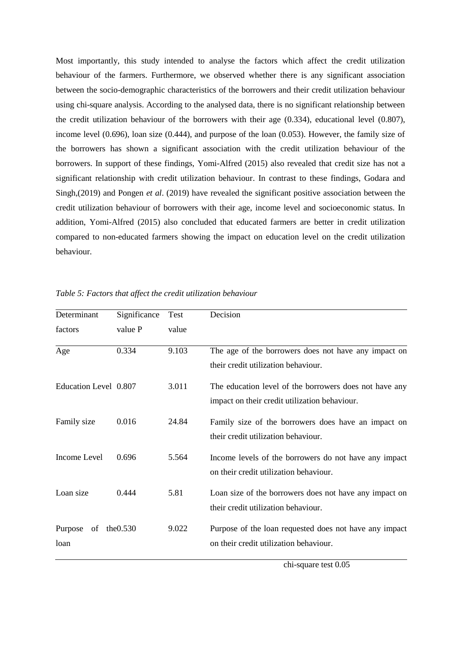Most importantly, this study intended to analyse the factors which affect the credit utilization behaviour of the farmers. Furthermore, we observed whether there is any significant association between the socio-demographic characteristics of the borrowers and their credit utilization behaviour using chi-square analysis. According to the analysed data, there is no significant relationship between the credit utilization behaviour of the borrowers with their age (0.334), educational level (0.807), income level (0.696), loan size (0.444), and purpose of the loan (0.053). However, the family size of the borrowers has shown a significant association with the credit utilization behaviour of the borrowers. In support of these findings, Yomi-Alfred (2015) also revealed that credit size has not a significant relationship with credit utilization behaviour. In contrast to these findings, Godara and Singh,(2019) and Pongen *et al*. (2019) have revealed the significant positive association between the credit utilization behaviour of borrowers with their age, income level and socioeconomic status. In addition, Yomi-Alfred (2015) also concluded that educated farmers are better in credit utilization compared to non-educated farmers showing the impact on education level on the credit utilization behaviour.

| Determinant                       | Significance | Test  | Decision                                                                                                |
|-----------------------------------|--------------|-------|---------------------------------------------------------------------------------------------------------|
| factors                           | value P      | value |                                                                                                         |
| Age                               | 0.334        | 9.103 | The age of the borrowers does not have any impact on<br>their credit utilization behaviour.             |
| Education Level 0.807             |              | 3.011 | The education level of the borrowers does not have any<br>impact on their credit utilization behaviour. |
| Family size                       | 0.016        | 24.84 | Family size of the borrowers does have an impact on<br>their credit utilization behaviour.              |
| Income Level                      | 0.696        | 5.564 | Income levels of the borrowers do not have any impact<br>on their credit utilization behaviour.         |
| Loan size                         | 0.444        | 5.81  | Loan size of the borrowers does not have any impact on<br>their credit utilization behaviour.           |
| Purpose<br>of the $0.530$<br>loan |              | 9.022 | Purpose of the loan requested does not have any impact<br>on their credit utilization behaviour.        |

*Table 5: Factors that affect the credit utilization behaviour*

chi-square test 0.05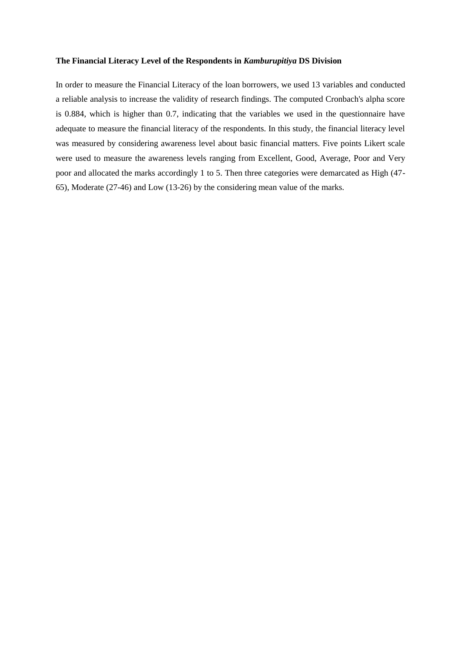# **The Financial Literacy Level of the Respondents in** *Kamburupitiya* **DS Division**

In order to measure the Financial Literacy of the loan borrowers, we used 13 variables and conducted a reliable analysis to increase the validity of research findings. The computed Cronbach's alpha score is 0.884, which is higher than 0.7, indicating that the variables we used in the questionnaire have adequate to measure the financial literacy of the respondents. In this study, the financial literacy level was measured by considering awareness level about basic financial matters. Five points Likert scale were used to measure the awareness levels ranging from Excellent, Good, Average, Poor and Very poor and allocated the marks accordingly 1 to 5. Then three categories were demarcated as High (47- 65), Moderate (27-46) and Low (13-26) by the considering mean value of the marks.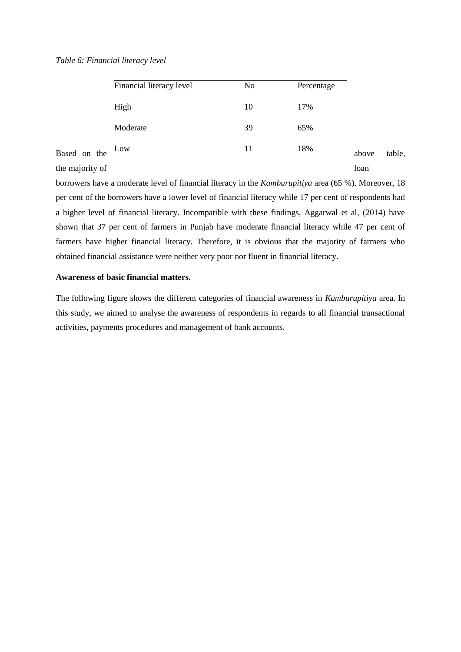### *Table 6: Financial literacy level*

|                 | Financial literacy level | No | Percentage |       |        |
|-----------------|--------------------------|----|------------|-------|--------|
|                 | High                     | 10 | 17%        |       |        |
|                 | Moderate                 | 39 | 65%        |       |        |
| Based on the    | Low                      | 11 | 18%        | above | table. |
| the majority of |                          |    |            | loan  |        |

borrowers have a moderate level of financial literacy in the *Kamburupitiya* area (65 %). Moreover, 18 per cent of the borrowers have a lower level of financial literacy while 17 per cent of respondents had a higher level of financial literacy. Incompatible with these findings, Aggarwal et al, (2014) have shown that 37 per cent of farmers in Punjab have moderate financial literacy while 47 per cent of farmers have higher financial literacy. Therefore, it is obvious that the majority of farmers who obtained financial assistance were neither very poor nor fluent in financial literacy.

# **Awareness of basic financial matters.**

The following figure shows the different categories of financial awareness in *Kamburupitiya* area. In this study, we aimed to analyse the awareness of respondents in regards to all financial transactional activities, payments procedures and management of bank accounts.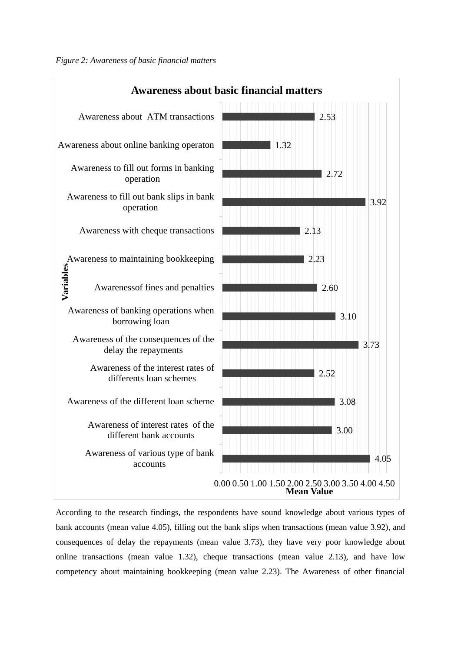

According to the research findings, the respondents have sound knowledge about various types of bank accounts (mean value 4.05), filling out the bank slips when transactions (mean value 3.92), and consequences of delay the repayments (mean value 3.73), they have very poor knowledge about online transactions (mean value 1.32), cheque transactions (mean value 2.13), and have low competency about maintaining bookkeeping (mean value 2.23). The Awareness of other financial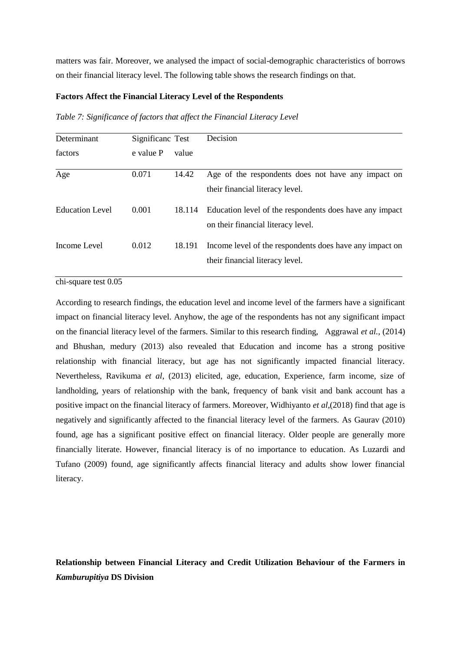matters was fair. Moreover, we analysed the impact of social-demographic characteristics of borrows on their financial literacy level. The following table shows the research findings on that.

# **Factors Affect the Financial Literacy Level of the Respondents**

*Table 7: Significance of factors that affect the Financial Literacy Level*

| Determinant     | Significanc Test |        | Decision                                                                                      |
|-----------------|------------------|--------|-----------------------------------------------------------------------------------------------|
| factors         | e value P        | value  |                                                                                               |
| Age             | 0.071            | 14.42  | Age of the respondents does not have any impact on<br>their financial literacy level.         |
| Education Level | 0.001            | 18.114 | Education level of the respondents does have any impact<br>on their financial literacy level. |
| Income Level    | 0.012            | 18.191 | Income level of the respondents does have any impact on<br>their financial literacy level.    |

chi-square test 0.05

According to research findings, the education level and income level of the farmers have a significant impact on financial literacy level. Anyhow, the age of the respondents has not any significant impact on the financial literacy level of the farmers. Similar to this research finding, Aggrawal *et al.,* (2014) and Bhushan, medury (2013) also revealed that Education and income has a strong positive relationship with financial literacy, but age has not significantly impacted financial literacy. Nevertheless, Ravikuma *et al*, (2013) elicited, age, education, Experience, farm income, size of landholding, years of relationship with the bank, frequency of bank visit and bank account has a positive impact on the financial literacy of farmers. Moreover, Widhiyanto *et al*,(2018) find that age is negatively and significantly affected to the financial literacy level of the farmers. As Gaurav (2010) found, age has a significant positive effect on financial literacy. Older people are generally more financially literate. However, financial literacy is of no importance to education. As Luzardi and Tufano (2009) found, age significantly affects financial literacy and adults show lower financial literacy.

**Relationship between Financial Literacy and Credit Utilization Behaviour of the Farmers in**  *Kamburupitiya* **DS Division**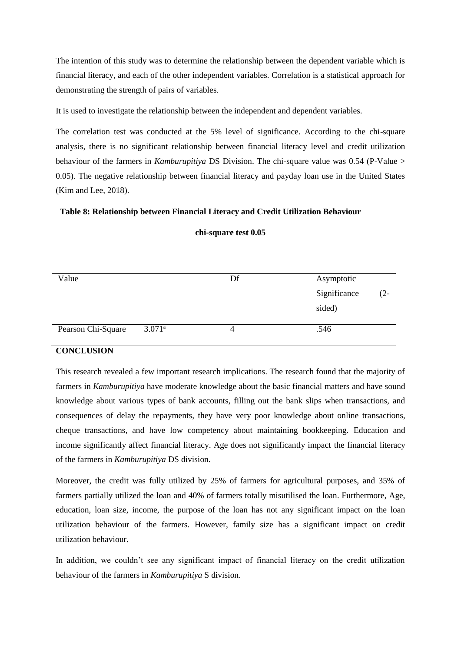The intention of this study was to determine the relationship between the dependent variable which is financial literacy, and each of the other independent variables. Correlation is a statistical approach for demonstrating the strength of pairs of variables.

It is used to investigate the relationship between the independent and dependent variables.

The correlation test was conducted at the 5% level of significance. According to the chi-square analysis, there is no significant relationship between financial literacy level and credit utilization behaviour of the farmers in *Kamburupitiya* DS Division. The chi-square value was 0.54 (P-Value > 0.05). The negative relationship between financial literacy and payday loan use in the United States (Kim and Lee, 2018).

# **Table 8: Relationship between Financial Literacy and Credit Utilization Behaviour**

| Value              |                      | Df | Asymptotic   |        |
|--------------------|----------------------|----|--------------|--------|
|                    |                      |    | Significance | $(2 -$ |
|                    |                      |    | sided)       |        |
|                    |                      |    |              |        |
| Pearson Chi-Square | $3.071$ <sup>a</sup> | 4  | .546         |        |
|                    |                      |    |              |        |

# **chi-square test 0.05**

# **CONCLUSION**

This research revealed a few important research implications. The research found that the majority of farmers in *Kamburupitiya* have moderate knowledge about the basic financial matters and have sound knowledge about various types of bank accounts, filling out the bank slips when transactions, and consequences of delay the repayments, they have very poor knowledge about online transactions, cheque transactions, and have low competency about maintaining bookkeeping. Education and income significantly affect financial literacy. Age does not significantly impact the financial literacy of the farmers in *Kamburupitiya* DS division.

Moreover, the credit was fully utilized by 25% of farmers for agricultural purposes, and 35% of farmers partially utilized the loan and 40% of farmers totally misutilised the loan. Furthermore, Age, education, loan size, income, the purpose of the loan has not any significant impact on the loan utilization behaviour of the farmers. However, family size has a significant impact on credit utilization behaviour.

In addition, we couldn't see any significant impact of financial literacy on the credit utilization behaviour of the farmers in *Kamburupitiya* S division.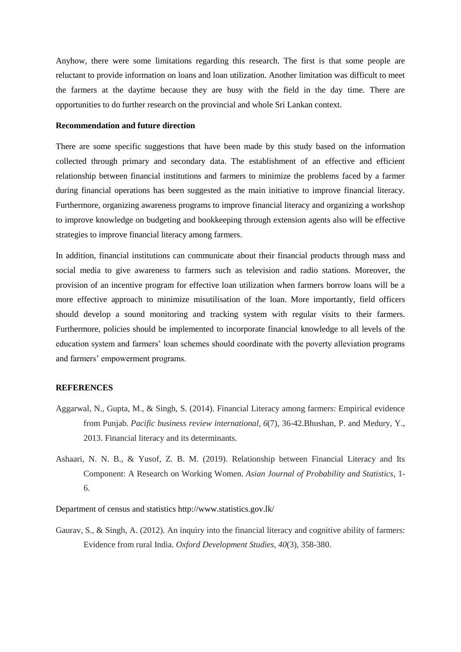Anyhow, there were some limitations regarding this research. The first is that some people are reluctant to provide information on loans and loan utilization. Another limitation was difficult to meet the farmers at the daytime because they are busy with the field in the day time. There are opportunities to do further research on the provincial and whole Sri Lankan context.

# **Recommendation and future direction**

There are some specific suggestions that have been made by this study based on the information collected through primary and secondary data. The establishment of an effective and efficient relationship between financial institutions and farmers to minimize the problems faced by a farmer during financial operations has been suggested as the main initiative to improve financial literacy. Furthermore, organizing awareness programs to improve financial literacy and organizing a workshop to improve knowledge on budgeting and bookkeeping through extension agents also will be effective strategies to improve financial literacy among farmers.

In addition, financial institutions can communicate about their financial products through mass and social media to give awareness to farmers such as television and radio stations. Moreover, the provision of an incentive program for effective loan utilization when farmers borrow loans will be a more effective approach to minimize misutilisation of the loan. More importantly, field officers should develop a sound monitoring and tracking system with regular visits to their farmers. Furthermore, policies should be implemented to incorporate financial knowledge to all levels of the education system and farmers' loan schemes should coordinate with the poverty alleviation programs and farmers' empowerment programs.

### **REFERENCES**

- Aggarwal, N., Gupta, M., & Singh, S. (2014). Financial Literacy among farmers: Empirical evidence from Punjab. *Pacific business review international*, *6*(7), 36-42.Bhushan, P. and Medury, Y., 2013. Financial literacy and its determinants.
- Ashaari, N. N. B., & Yusof, Z. B. M. (2019). Relationship between Financial Literacy and Its Component: A Research on Working Women. *Asian Journal of Probability and Statistics*, 1- 6.

Department of census and statistics http://www.statistics.gov.lk/

Gaurav, S., & Singh, A. (2012). An inquiry into the financial literacy and cognitive ability of farmers: Evidence from rural India. *Oxford Development Studies*, *40*(3), 358-380.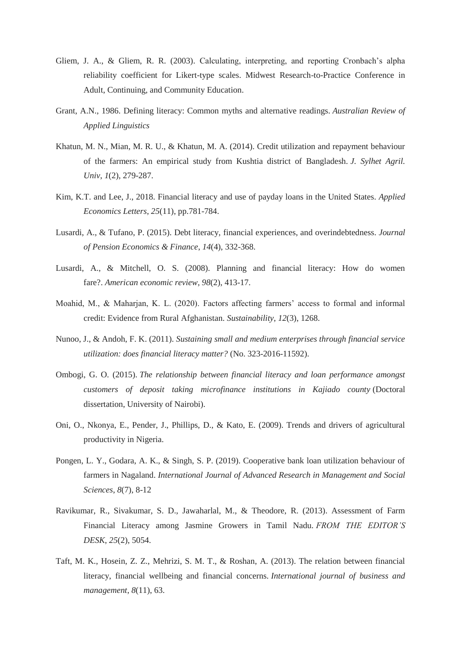- Gliem, J. A., & Gliem, R. R. (2003). Calculating, interpreting, and reporting Cronbach's alpha reliability coefficient for Likert-type scales. Midwest Research-to-Practice Conference in Adult, Continuing, and Community Education.
- Grant, A.N., 1986. Defining literacy: Common myths and alternative readings. *Australian Review of Applied Linguistics*
- Khatun, M. N., Mian, M. R. U., & Khatun, M. A. (2014). Credit utilization and repayment behaviour of the farmers: An empirical study from Kushtia district of Bangladesh. *J. Sylhet Agril. Univ*, *1*(2), 279-287.
- Kim, K.T. and Lee, J., 2018. Financial literacy and use of payday loans in the United States. *Applied Economics Letters*, *25*(11), pp.781-784.
- Lusardi, A., & Tufano, P. (2015). Debt literacy, financial experiences, and overindebtedness. *Journal of Pension Economics & Finance*, *14*(4), 332-368.
- Lusardi, A., & Mitchell, O. S. (2008). Planning and financial literacy: How do women fare?. *American economic review*, *98*(2), 413-17.
- Moahid, M., & Maharjan, K. L. (2020). Factors affecting farmers' access to formal and informal credit: Evidence from Rural Afghanistan. *Sustainability*, *12*(3), 1268.
- Nunoo, J., & Andoh, F. K. (2011). *Sustaining small and medium enterprises through financial service utilization: does financial literacy matter?* (No. 323-2016-11592).
- Ombogi, G. O. (2015). *The relationship between financial literacy and loan performance amongst customers of deposit taking microfinance institutions in Kajiado county* (Doctoral dissertation, University of Nairobi).
- Oni, O., Nkonya, E., Pender, J., Phillips, D., & Kato, E. (2009). Trends and drivers of agricultural productivity in Nigeria.
- Pongen, L. Y., Godara, A. K., & Singh, S. P. (2019). Cooperative bank loan utilization behaviour of farmers in Nagaland. *International Journal of Advanced Research in Management and Social Sciences*, *8*(7), 8-12
- Ravikumar, R., Sivakumar, S. D., Jawaharlal, M., & Theodore, R. (2013). Assessment of Farm Financial Literacy among Jasmine Growers in Tamil Nadu. *FROM THE EDITOR'S DESK*, *25*(2), 5054.
- Taft, M. K., Hosein, Z. Z., Mehrizi, S. M. T., & Roshan, A. (2013). The relation between financial literacy, financial wellbeing and financial concerns. *International journal of business and management*, *8*(11), 63.